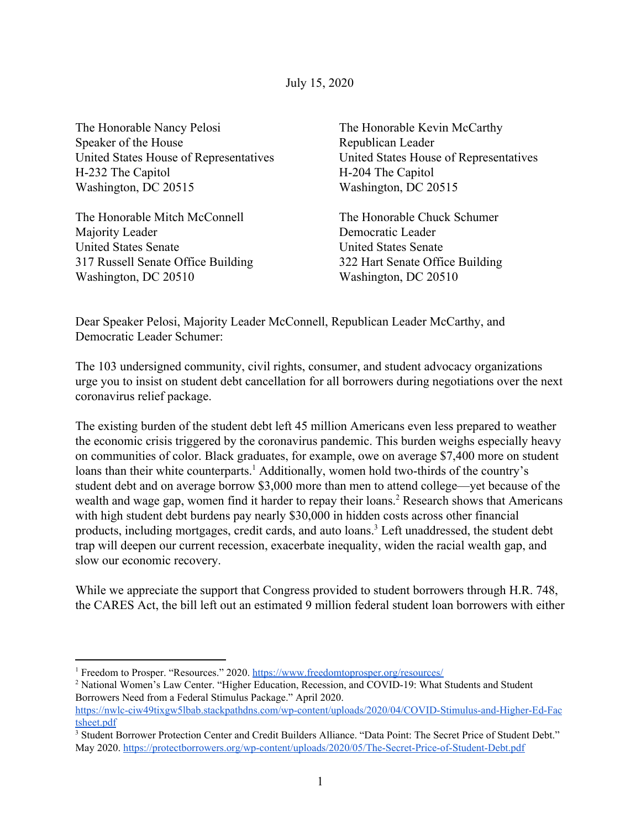July 15, 2020

The Honorable Nancy Pelosi Speaker of the House United States House of Representatives H-232 The Capitol Washington, DC 20515

The Honorable Mitch McConnell Majority Leader United States Senate 317 Russell Senate Office Building Washington, DC 20510

The Honorable Kevin McCarthy Republican Leader United States House of Representatives H-204 The Capitol Washington, DC 20515

The Honorable Chuck Schumer Democratic Leader United States Senate 322 Hart Senate Office Building Washington, DC 20510

Dear Speaker Pelosi, Majority Leader McConnell, Republican Leader McCarthy, and Democratic Leader Schumer:

The 103 undersigned community, civil rights, consumer, and student advocacy organizations urge you to insist on student debt cancellation for all borrowers during negotiations over the next coronavirus relief package.

The existing burden of the student debt left 45 million Americans even less prepared to weather the economic crisis triggered by the coronavirus pandemic. This burden weighs especially heavy on communities of color. Black graduates, for example, owe on average \$7,400 more on student loans than their white counterparts.<sup>1</sup> Additionally, women hold two-thirds of the country's student debt and on average borrow \$3,000 more than men to attend college—yet because of the wealth and wage gap, women find it harder to repay their loans.<sup>2</sup> Research shows that Americans with high student debt burdens pay nearly \$30,000 in hidden costs across other financial products, including mortgages, credit cards, and auto loans.<sup>3</sup> Left unaddressed, the student debt trap will deepen our current recession, exacerbate inequality, widen the racial wealth gap, and slow our economic recovery.

While we appreciate the support that Congress provided to student borrowers through H.R. 748, the CARES Act, the bill left out an estimated 9 million federal student loan borrowers with either

<sup>1</sup> Freedom to Prosper. "Resources." 2020. <https://www.freedomtoprosper.org/resources/>

<sup>&</sup>lt;sup>2</sup> National Women's Law Center. "Higher Education, Recession, and COVID-19: What Students and Student Borrowers Need from a Federal Stimulus Package." April 2020.

[https://nwlc-ciw49tixgw5lbab.stackpathdns.com/wp-content/uploads/2020/04/COVID-Stimulus-and-Higher-Ed-Fac](https://nwlc-ciw49tixgw5lbab.stackpathdns.com/wp-content/uploads/2020/04/COVID-Stimulus-and-Higher-Ed-Factsheet.pdf) [tsheet.pdf](https://nwlc-ciw49tixgw5lbab.stackpathdns.com/wp-content/uploads/2020/04/COVID-Stimulus-and-Higher-Ed-Factsheet.pdf)

<sup>&</sup>lt;sup>3</sup> Student Borrower Protection Center and Credit Builders Alliance. "Data Point: The Secret Price of Student Debt." May 2020. <https://protectborrowers.org/wp-content/uploads/2020/05/The-Secret-Price-of-Student-Debt.pdf>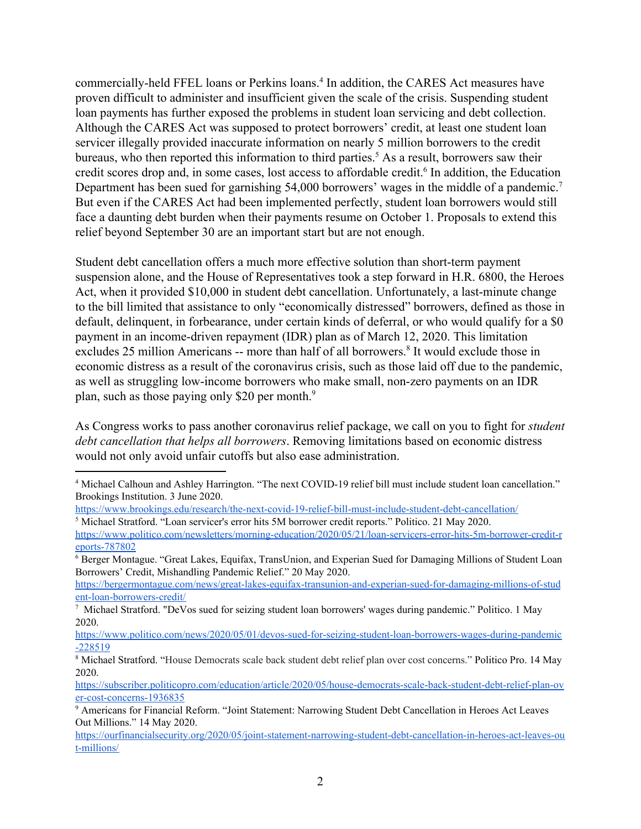commercially-held FFEL loans or Perkins loans.<sup>4</sup> In addition, the CARES Act measures have proven difficult to administer and insufficient given the scale of the crisis. Suspending student loan payments has further exposed the problems in student loan servicing and debt collection. Although the CARES Act was supposed to protect borrowers' credit, at least one student loan servicer illegally provided inaccurate information on nearly 5 million borrowers to the credit bureaus, who then reported this information to third parties.<sup>5</sup> As a result, borrowers saw their credit scores drop and, in some cases, lost access to affordable credit.<sup>6</sup> In addition, the Education Department has been sued for garnishing 54,000 borrowers' wages in the middle of a pandemic.<sup>7</sup> But even if the CARES Act had been implemented perfectly, student loan borrowers would still face a daunting debt burden when their payments resume on October 1. Proposals to extend this relief beyond September 30 are an important start but are not enough.

Student debt cancellation offers a much more effective solution than short-term payment suspension alone, and the House of Representatives took a step forward in H.R. 6800, the Heroes Act, when it provided \$10,000 in student debt cancellation. Unfortunately, a last-minute change to the bill limited that assistance to only "economically distressed" borrowers, defined as those in default, delinquent, in forbearance, under certain kinds of deferral, or who would qualify for a \$0 payment in an income-driven repayment (IDR) plan as of March 12, 2020. This limitation excludes 25 million Americans -- more than half of all borrowers.<sup>8</sup> It would exclude those in economic distress as a result of the coronavirus crisis, such as those laid off due to the pandemic, as well as struggling low-income borrowers who make small, non-zero payments on an IDR plan, such as those paying only \$20 per month.<sup>9</sup>

As Congress works to pass another coronavirus relief package, we call on you to fight for *student debt cancellation that helps all borrowers*. Removing limitations based on economic distress would not only avoid unfair cutoffs but also ease administration.

<sup>4</sup> Michael Calhoun and Ashley Harrington. "The next COVID-19 relief bill must include student loan cancellation." Brookings Institution. 3 June 2020.

<https://www.brookings.edu/research/the-next-covid-19-relief-bill-must-include-student-debt-cancellation/>

<sup>5</sup> Michael Stratford. "Loan servicer's error hits 5M borrower credit reports." Politico. 21 May 2020.

[https://www.politico.com/newsletters/morning-education/2020/05/21/loan-servicers-error-hits-5m-borrower-credit-r](https://www.politico.com/newsletters/morning-education/2020/05/21/loan-servicers-error-hits-5m-borrower-credit-reports-787802) [eports-787802](https://www.politico.com/newsletters/morning-education/2020/05/21/loan-servicers-error-hits-5m-borrower-credit-reports-787802)

<sup>6</sup> Berger Montague. "Great Lakes, Equifax, TransUnion, and Experian Sued for Damaging Millions of Student Loan Borrowers' Credit, Mishandling Pandemic Relief." 20 May 2020.

[https://bergermontague.com/news/great-lakes-equifax-transunion-and-experian-sued-for-damaging-millions-of-stud](https://bergermontague.com/news/great-lakes-equifax-transunion-and-experian-sued-for-damaging-millions-of-student-loan-borrowers-credit/) [ent-loan-borrowers-credit/](https://bergermontague.com/news/great-lakes-equifax-transunion-and-experian-sued-for-damaging-millions-of-student-loan-borrowers-credit/)

<sup>7</sup> Michael Stratford. "DeVos sued for seizing student loan borrowers' wages during pandemic." Politico. 1 May 2020.

[https://www.politico.com/news/2020/05/01/devos-sued-for-seizing-student-loan-borrowers-wages-during-pandemic](https://www.politico.com/news/2020/05/01/devos-sued-for-seizing-student-loan-borrowers-wages-during-pandemic-228519) [-228519](https://www.politico.com/news/2020/05/01/devos-sued-for-seizing-student-loan-borrowers-wages-during-pandemic-228519)

<sup>8</sup> Michael Stratford. "House Democrats scale back student debt relief plan over cost concerns." Politico Pro. 14 May 2020.

[https://subscriber.politicopro.com/education/article/2020/05/house-democrats-scale-back-student-debt-relief-plan-ov](https://subscriber.politicopro.com/education/article/2020/05/house-democrats-scale-back-student-debt-relief-plan-over-cost-concerns-1936835) [er-cost-concerns-1936835](https://subscriber.politicopro.com/education/article/2020/05/house-democrats-scale-back-student-debt-relief-plan-over-cost-concerns-1936835)

<sup>9</sup> Americans for Financial Reform. "Joint Statement: Narrowing Student Debt Cancellation in Heroes Act Leaves Out Millions." 14 May 2020.

[https://ourfinancialsecurity.org/2020/05/joint-statement-narrowing-student-debt-cancellation-in-heroes-act-leaves-ou](https://ourfinancialsecurity.org/2020/05/joint-statement-narrowing-student-debt-cancellation-in-heroes-act-leaves-out-millions/) [t-millions/](https://ourfinancialsecurity.org/2020/05/joint-statement-narrowing-student-debt-cancellation-in-heroes-act-leaves-out-millions/)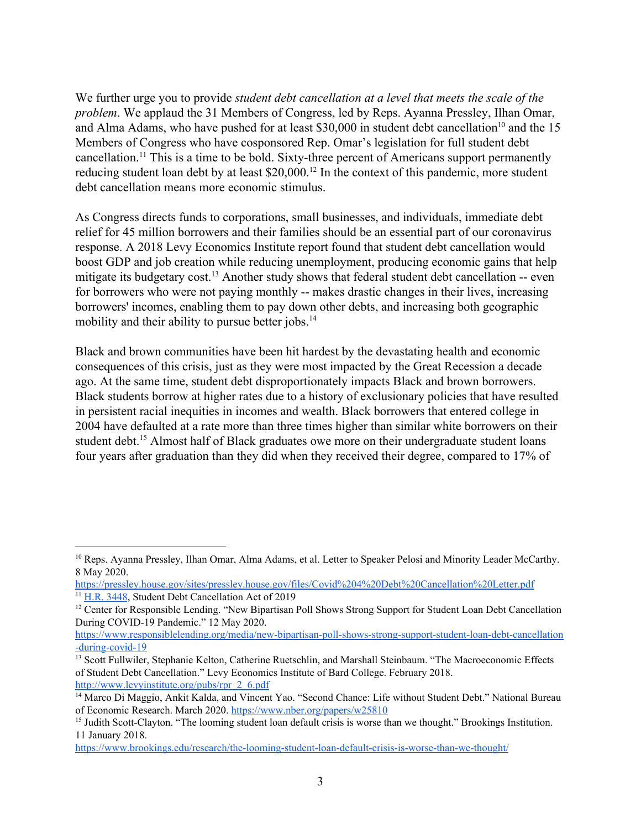We further urge you to provide *student debt cancellation at a level that meets the scale of the problem*. We applaud the 31 Members of Congress, led by Reps. Ayanna Pressley, Ilhan Omar, and Alma Adams, who have pushed for at least  $$30,000$  in student debt cancellation<sup>10</sup> and the 15 Members of Congress who have cosponsored Rep. Omar's legislation for full student debt cancellation.<sup>11</sup> This is a time to be bold. Sixty-three percent of Americans support permanently reducing student loan debt by at least \$20,000.<sup>12</sup> In the context of this pandemic, more student debt cancellation means more economic stimulus.

As Congress directs funds to corporations, small businesses, and individuals, immediate debt relief for 45 million borrowers and their families should be an essential part of our coronavirus response. A 2018 Levy Economics Institute report found that student debt cancellation would boost GDP and job creation while reducing unemployment, producing economic gains that help mitigate its budgetary cost.<sup>13</sup> Another study shows that federal student debt cancellation  $-$  even for borrowers who were not paying monthly -- makes drastic changes in their lives, increasing borrowers' incomes, enabling them to pay down other debts, and increasing both geographic mobility and their ability to pursue better jobs.<sup>14</sup>

Black and brown communities have been hit hardest by the devastating health and economic consequences of this crisis, just as they were most impacted by the Great Recession a decade ago. At the same time, student debt disproportionately impacts Black and brown borrowers. Black students borrow at higher rates due to a history of exclusionary policies that have resulted in persistent racial inequities in incomes and wealth. Black borrowers that entered college in 2004 have defaulted at a rate more than three times higher than similar white borrowers on their student debt.<sup>15</sup> Almost half of Black graduates owe more on their undergraduate student loans four years after graduation than they did when they received their degree, compared to 17% of

<sup>&</sup>lt;sup>10</sup> Reps. Ayanna Pressley, Ilhan Omar, Alma Adams, et al. Letter to Speaker Pelosi and Minority Leader McCarthy. 8 May 2020.

<https://pressley.house.gov/sites/pressley.house.gov/files/Covid%204%20Debt%20Cancellation%20Letter.pdf> <sup>11</sup> H.R. [3448,](https://www.congress.gov/bill/116th-congress/house-bill/3448/cosponsors?r=21&s=2&searchResultViewType=expanded&KWICView=false) Student Debt Cancellation Act of 2019

<sup>&</sup>lt;sup>12</sup> Center for Responsible Lending. "New Bipartisan Poll Shows Strong Support for Student Loan Debt Cancellation During COVID-19 Pandemic." 12 May 2020.

[https://www.responsiblelending.org/media/new-bipartisan-poll-shows-strong-support-student-loan-debt-cancellation](https://www.responsiblelending.org/media/new-bipartisan-poll-shows-strong-support-student-loan-debt-cancellation-during-covid-19) [-during-covid-19](https://www.responsiblelending.org/media/new-bipartisan-poll-shows-strong-support-student-loan-debt-cancellation-during-covid-19)

<sup>&</sup>lt;sup>13</sup> Scott Fullwiler, Stephanie Kelton, Catherine Ruetschlin, and Marshall Steinbaum. "The Macroeconomic Effects of Student Debt Cancellation." Levy Economics Institute of Bard College. February 2018. [http://www.levyinstitute.org/pubs/rpr\\_2\\_6.pdf](http://www.levyinstitute.org/pubs/rpr_2_6.pdf)

<sup>&</sup>lt;sup>14</sup> Marco Di Maggio, Ankit Kalda, and Vincent Yao. "Second Chance: Life without Student Debt." National Bureau of Economic Research. March 2020. <https://www.nber.org/papers/w25810>

<sup>&</sup>lt;sup>15</sup> Judith Scott-Clayton. "The looming student loan default crisis is worse than we thought." Brookings Institution. 11 January 2018.

<https://www.brookings.edu/research/the-looming-student-loan-default-crisis-is-worse-than-we-thought/>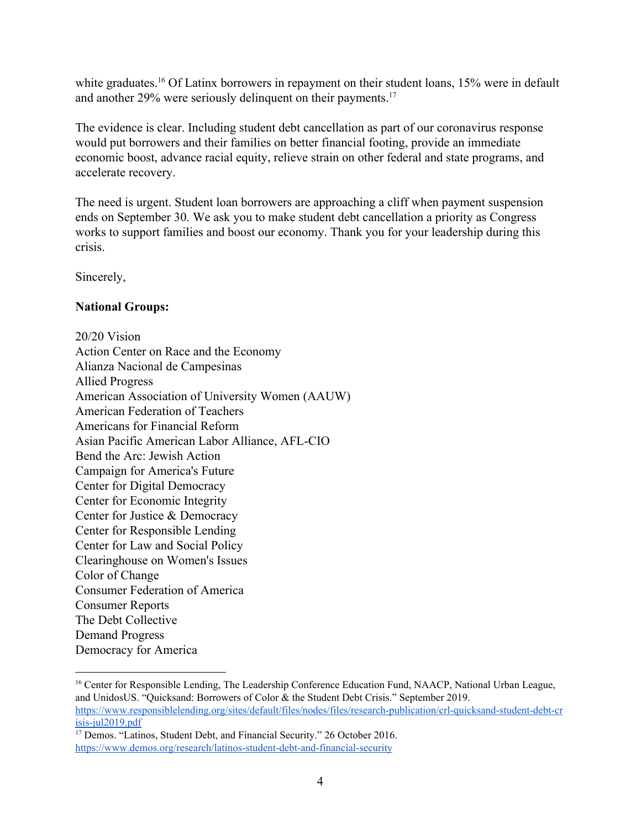white graduates.<sup>16</sup> Of Latinx borrowers in repayment on their student loans,  $15\%$  were in default and another 29% were seriously delinquent on their payments.<sup>17</sup>

The evidence is clear. Including student debt cancellation as part of our coronavirus response would put borrowers and their families on better financial footing, provide an immediate economic boost, advance racial equity, relieve strain on other federal and state programs, and accelerate recovery.

The need is urgent. Student loan borrowers are approaching a cliff when payment suspension ends on September 30. We ask you to make student debt cancellation a priority as Congress works to support families and boost our economy. Thank you for your leadership during this crisis.

Sincerely,

## **National Groups:**

20/20 Vision Action Center on Race and the Economy Alianza Nacional de Campesinas Allied Progress American Association of University Women (AAUW) American Federation of Teachers Americans for Financial Reform Asian Pacific American Labor Alliance, AFL-CIO Bend the Arc: Jewish Action Campaign for America's Future Center for Digital Democracy Center for Economic Integrity Center for Justice & Democracy Center for Responsible Lending Center for Law and Social Policy Clearinghouse on Women's Issues Color of Change Consumer Federation of America Consumer Reports The Debt Collective Demand Progress Democracy for America

<sup>&</sup>lt;sup>16</sup> Center for Responsible Lending, The Leadership Conference Education Fund, NAACP, National Urban League, and UnidosUS. "Quicksand: Borrowers of Color & the Student Debt Crisis." September 2019. [https://www.responsiblelending.org/sites/default/files/nodes/files/research-publication/crl-quicksand-student-debt-cr](https://www.responsiblelending.org/sites/default/files/nodes/files/research-publication/crl-quicksand-student-debt-crisis-jul2019.pdf) [isis-jul2019.pdf](https://www.responsiblelending.org/sites/default/files/nodes/files/research-publication/crl-quicksand-student-debt-crisis-jul2019.pdf)

<sup>&</sup>lt;sup>17</sup> Demos. "Latinos, Student Debt, and Financial Security." 26 October 2016. <https://www.demos.org/research/latinos-student-debt-and-financial-security>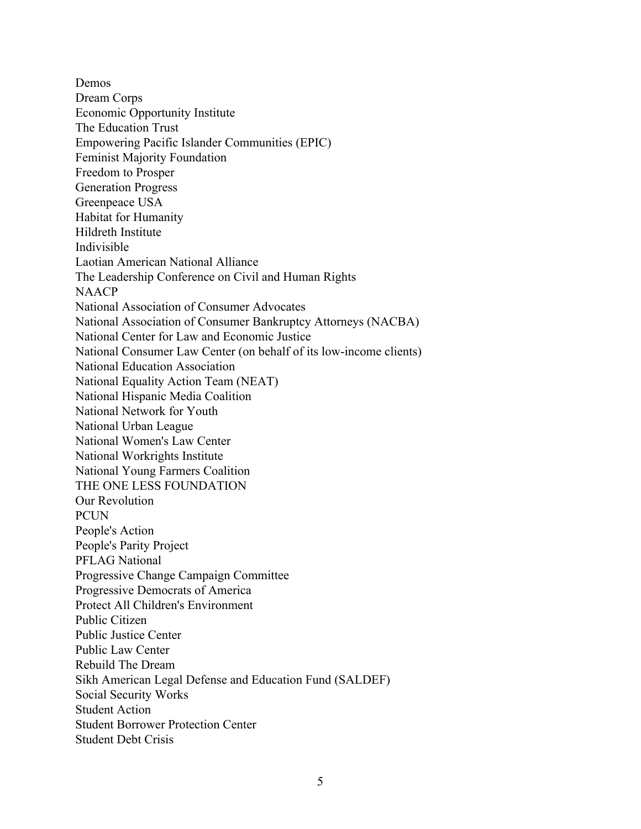Demos Dream Corps Economic Opportunity Institute The Education Trust Empowering Pacific Islander Communities (EPIC) Feminist Majority Foundation Freedom to Prosper Generation Progress Greenpeace USA Habitat for Humanity Hildreth Institute Indivisible Laotian American National Alliance The Leadership Conference on Civil and Human Rights NAACP National Association of Consumer Advocates National Association of Consumer Bankruptcy Attorneys (NACBA) National Center for Law and Economic Justice National Consumer Law Center (on behalf of its low-income clients) National Education Association National Equality Action Team (NEAT) National Hispanic Media Coalition National Network for Youth National Urban League National Women's Law Center National Workrights Institute National Young Farmers Coalition THE ONE LESS FOUNDATION Our Revolution PCUN People's Action People's Parity Project PFLAG National Progressive Change Campaign Committee Progressive Democrats of America Protect All Children's Environment Public Citizen Public Justice Center Public Law Center Rebuild The Dream Sikh American Legal Defense and Education Fund (SALDEF) Social Security Works Student Action Student Borrower Protection Center Student Debt Crisis